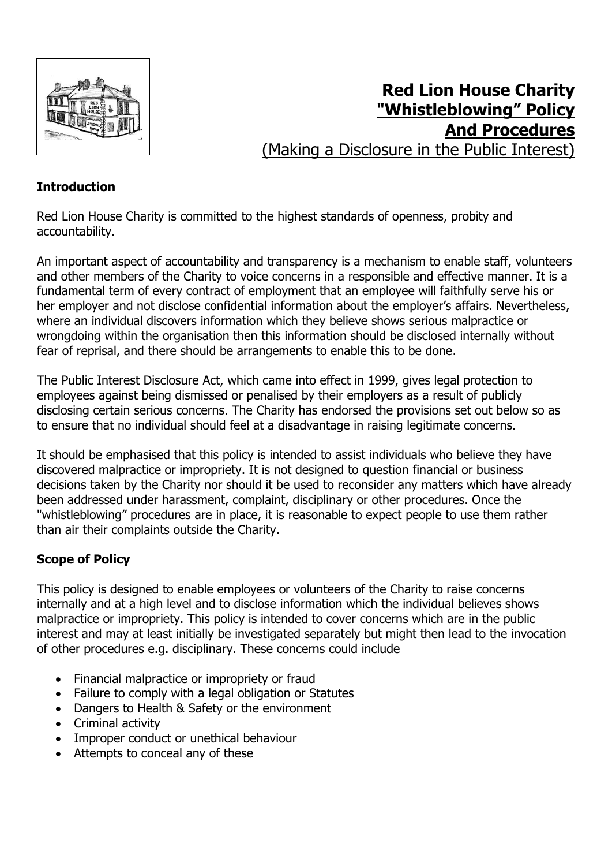

# **Red Lion House Charity "Whistleblowing" Policy And Procedures** (Making a Disclosure in the Public Interest)

## **Introduction**

Red Lion House Charity is committed to the highest standards of openness, probity and accountability.

An important aspect of accountability and transparency is a mechanism to enable staff, volunteers and other members of the Charity to voice concerns in a responsible and effective manner. It is a fundamental term of every contract of employment that an employee will faithfully serve his or her employer and not disclose confidential information about the employer's affairs. Nevertheless, where an individual discovers information which they believe shows serious malpractice or wrongdoing within the organisation then this information should be disclosed internally without fear of reprisal, and there should be arrangements to enable this to be done.

The Public Interest Disclosure Act, which came into effect in 1999, gives legal protection to employees against being dismissed or penalised by their employers as a result of publicly disclosing certain serious concerns. The Charity has endorsed the provisions set out below so as to ensure that no individual should feel at a disadvantage in raising legitimate concerns.

It should be emphasised that this policy is intended to assist individuals who believe they have discovered malpractice or impropriety. It is not designed to question financial or business decisions taken by the Charity nor should it be used to reconsider any matters which have already been addressed under harassment, complaint, disciplinary or other procedures. Once the "whistleblowing" procedures are in place, it is reasonable to expect people to use them rather than air their complaints outside the Charity.

# **Scope of Policy**

This policy is designed to enable employees or volunteers of the Charity to raise concerns internally and at a high level and to disclose information which the individual believes shows malpractice or impropriety. This policy is intended to cover concerns which are in the public interest and may at least initially be investigated separately but might then lead to the invocation of other procedures e.g. disciplinary. These concerns could include

- Financial malpractice or impropriety or fraud
- Failure to comply with a legal obligation or Statutes
- Dangers to Health & Safety or the environment
- Criminal activity
- Improper conduct or unethical behaviour
- Attempts to conceal any of these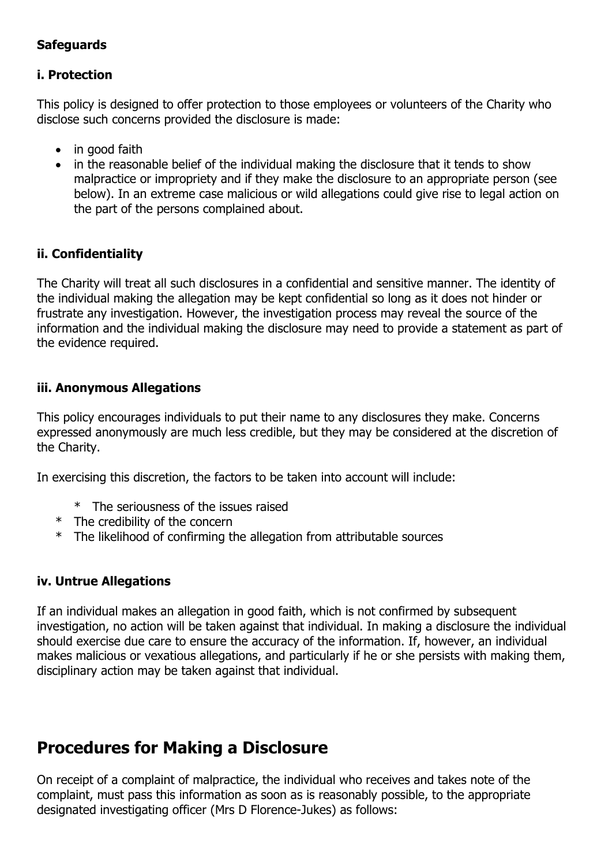## **Safeguards**

#### **i. Protection**

This policy is designed to offer protection to those employees or volunteers of the Charity who disclose such concerns provided the disclosure is made:

- in good faith
- in the reasonable belief of the individual making the disclosure that it tends to show malpractice or impropriety and if they make the disclosure to an appropriate person (see below). In an extreme case malicious or wild allegations could give rise to legal action on the part of the persons complained about.

#### **ii. Confidentiality**

The Charity will treat all such disclosures in a confidential and sensitive manner. The identity of the individual making the allegation may be kept confidential so long as it does not hinder or frustrate any investigation. However, the investigation process may reveal the source of the information and the individual making the disclosure may need to provide a statement as part of the evidence required.

#### **iii. Anonymous Allegations**

This policy encourages individuals to put their name to any disclosures they make. Concerns expressed anonymously are much less credible, but they may be considered at the discretion of the Charity.

In exercising this discretion, the factors to be taken into account will include:

- \* The seriousness of the issues raised
- \* The credibility of the concern
- \* The likelihood of confirming the allegation from attributable sources

## **iv. Untrue Allegations**

If an individual makes an allegation in good faith, which is not confirmed by subsequent investigation, no action will be taken against that individual. In making a disclosure the individual should exercise due care to ensure the accuracy of the information. If, however, an individual makes malicious or vexatious allegations, and particularly if he or she persists with making them, disciplinary action may be taken against that individual.

# **Procedures for Making a Disclosure**

On receipt of a complaint of malpractice, the individual who receives and takes note of the complaint, must pass this information as soon as is reasonably possible, to the appropriate designated investigating officer (Mrs D Florence-Jukes) as follows: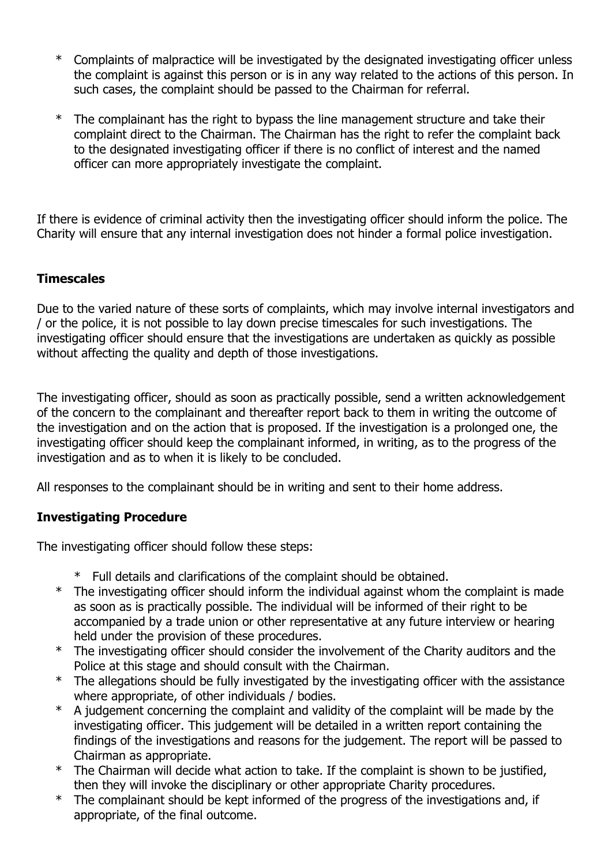- \* Complaints of malpractice will be investigated by the designated investigating officer unless the complaint is against this person or is in any way related to the actions of this person. In such cases, the complaint should be passed to the Chairman for referral.
- The complainant has the right to bypass the line management structure and take their complaint direct to the Chairman. The Chairman has the right to refer the complaint back to the designated investigating officer if there is no conflict of interest and the named officer can more appropriately investigate the complaint.

If there is evidence of criminal activity then the investigating officer should inform the police. The Charity will ensure that any internal investigation does not hinder a formal police investigation.

#### **Timescales**

Due to the varied nature of these sorts of complaints, which may involve internal investigators and / or the police, it is not possible to lay down precise timescales for such investigations. The investigating officer should ensure that the investigations are undertaken as quickly as possible without affecting the quality and depth of those investigations.

The investigating officer, should as soon as practically possible, send a written acknowledgement of the concern to the complainant and thereafter report back to them in writing the outcome of the investigation and on the action that is proposed. If the investigation is a prolonged one, the investigating officer should keep the complainant informed, in writing, as to the progress of the investigation and as to when it is likely to be concluded.

All responses to the complainant should be in writing and sent to their home address.

## **Investigating Procedure**

The investigating officer should follow these steps:

- \* Full details and clarifications of the complaint should be obtained.
- \* The investigating officer should inform the individual against whom the complaint is made as soon as is practically possible. The individual will be informed of their right to be accompanied by a trade union or other representative at any future interview or hearing held under the provision of these procedures.
- \* The investigating officer should consider the involvement of the Charity auditors and the Police at this stage and should consult with the Chairman.
- \* The allegations should be fully investigated by the investigating officer with the assistance where appropriate, of other individuals / bodies.
- \* A judgement concerning the complaint and validity of the complaint will be made by the investigating officer. This judgement will be detailed in a written report containing the findings of the investigations and reasons for the judgement. The report will be passed to Chairman as appropriate.
- \* The Chairman will decide what action to take. If the complaint is shown to be justified, then they will invoke the disciplinary or other appropriate Charity procedures.
- \* The complainant should be kept informed of the progress of the investigations and, if appropriate, of the final outcome.